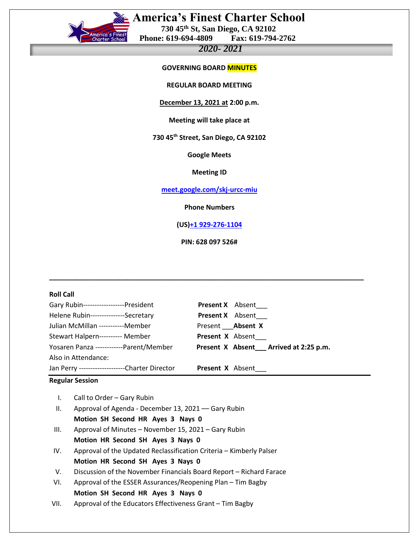

# **America's Finest Charter School**

 **730 45th St, San Diego, CA 92102 Phone: 619-694-4809** 

# *2020- 2021*

## **GOVERNING BOARD MINUTES**

**REGULAR BOARD MEETING**

#### **December 13, 2021 at 2:00 p.m.**

**Meeting will take place at** 

**730 45th Street, San Diego, CA 92102**

**Google Meets**

#### **Meeting ID**

**[meet.google.com/skj-urcc-miu](https://meet.google.com/skj-urcc-miu?hs=122&authuser=0)**

 **Phone Numbers**

**(US[\)+1 929-276-1104](tel:%E2%80%AA+1%20929-276-1104%E2%80%AC)**

**PIN: 628 097 526#**

**\_\_\_\_\_\_\_\_\_\_\_\_\_\_\_\_\_\_\_\_\_\_\_\_\_\_\_\_\_\_\_\_\_\_\_\_\_\_\_\_\_\_\_\_\_\_\_\_\_\_\_\_\_\_\_\_\_\_\_\_\_\_\_\_\_\_\_\_\_\_\_\_\_\_\_\_\_\_\_\_\_\_\_\_**

| <b>Roll Call</b>                                                                                                                                                                                                                                                                                        |                                                           |                         |                                          |
|---------------------------------------------------------------------------------------------------------------------------------------------------------------------------------------------------------------------------------------------------------------------------------------------------------|-----------------------------------------------------------|-------------------------|------------------------------------------|
| Gary Rubin-------------------President                                                                                                                                                                                                                                                                  |                                                           |                         | <b>Present X</b> Absent                  |
| Helene Rubin---------------Secretary                                                                                                                                                                                                                                                                    |                                                           |                         | <b>Present X</b> Absent                  |
| Julian McMillan -----------Member                                                                                                                                                                                                                                                                       |                                                           | Present Absent X        |                                          |
| Stewart Halpern---------- Member                                                                                                                                                                                                                                                                        |                                                           | Present X Absent        |                                          |
| Yosaren Panza ------------Parent/Member                                                                                                                                                                                                                                                                 |                                                           |                         | Present X Absent __ Arrived at 2:25 p.m. |
| Also in Attendance:                                                                                                                                                                                                                                                                                     |                                                           |                         |                                          |
|                                                                                                                                                                                                                                                                                                         | Jan Perry ---------------------Charter Director           | <b>Present X</b> Absent |                                          |
| <b>Regular Session</b>                                                                                                                                                                                                                                                                                  |                                                           |                         |                                          |
| Call to Order - Gary Rubin<br>$\mathsf{L}$<br>ΙΙ.<br>Approval of Agenda - December 13, 2021 - Gary Rubin<br>Motion SH Second HR Ayes 3 Nays 0<br>Approval of Minutes - November 15, 2021 - Gary Rubin<br>III.<br>Motion HR Second SH Ayes 3 Nays 0                                                      |                                                           |                         |                                          |
| Approval of the Updated Reclassification Criteria - Kimberly Palser<br>IV.<br>Motion HR Second SH Ayes 3 Nays 0<br>V.<br>Discussion of the November Financials Board Report - Richard Farace<br>Approval of the ESSER Assurances/Reopening Plan - Tim Bagby<br>VI.<br>Motion SH Second HR Ayes 3 Nays 0 |                                                           |                         |                                          |
| VII.                                                                                                                                                                                                                                                                                                    | Approval of the Educators Effectiveness Grant - Tim Bagby |                         |                                          |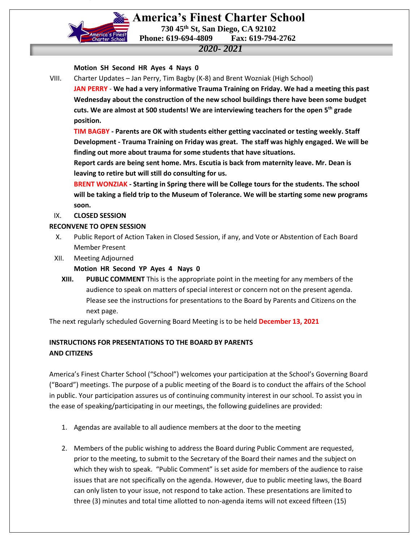

 **America's Finest Charter School 730 45th St, San Diego, CA 92102 Phone: 619-694-4809 Fax: 619-794-2762**

## *2020- 2021*

### **Motion SH Second HR Ayes 4 Nays 0**

VIII. Charter Updates – Jan Perry, Tim Bagby (K-8) and Brent Wozniak (High School)

**JAN PERRY** - **We had a very informative Trauma Training on Friday. We had a meeting this past Wednesday about the construction of the new school buildings there have been some budget cuts. We are almost at 500 students! We are interviewing teachers for the open 5th grade position.**

**TIM BAGBY - Parents are OK with students either getting vaccinated or testing weekly. Staff Development - Trauma Training on Friday was great. The staff was highly engaged. We will be finding out more about trauma for some students that have situations.**

**Report cards are being sent home. Mrs. Escutia is back from maternity leave. Mr. Dean is leaving to retire but will still do consulting for us.**

**BRENT WONZIAK - Starting in Spring there will be College tours for the students. The school will be taking a field trip to the Museum of Tolerance. We will be starting some new programs soon.** 

### IX. **CLOSED SESSION**

#### **RECONVENE TO OPEN SESSION**

- X. Public Report of Action Taken in Closed Session, if any, and Vote or Abstention of Each Board Member Present
- XII. Meeting Adjourned
	- **Motion HR Second YP Ayes 4 Nays 0**
	- **XIII. PUBLIC COMMENT** This is the appropriate point in the meeting for any members of the audience to speak on matters of special interest or concern not on the present agenda. Please see the instructions for presentations to the Board by Parents and Citizens on the next page.

The next regularly scheduled Governing Board Meeting is to be held **December 13, 2021**

## **INSTRUCTIONS FOR PRESENTATIONS TO THE BOARD BY PARENTS AND CITIZENS**

America's Finest Charter School ("School") welcomes your participation at the School's Governing Board ("Board") meetings. The purpose of a public meeting of the Board is to conduct the affairs of the School in public. Your participation assures us of continuing community interest in our school. To assist you in the ease of speaking/participating in our meetings, the following guidelines are provided:

- 1. Agendas are available to all audience members at the door to the meeting
- 2. Members of the public wishing to address the Board during Public Comment are requested, prior to the meeting, to submit to the Secretary of the Board their names and the subject on which they wish to speak. "Public Comment" is set aside for members of the audience to raise issues that are not specifically on the agenda. However, due to public meeting laws, the Board can only listen to your issue, not respond to take action. These presentations are limited to three (3) minutes and total time allotted to non-agenda items will not exceed fifteen (15)